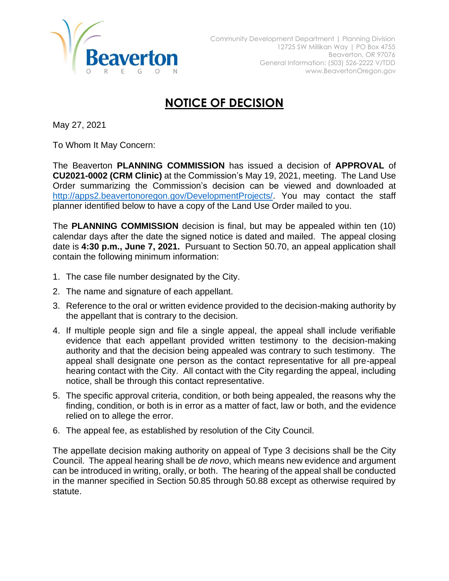

## **NOTICE OF DECISION**

May 27, 2021

To Whom It May Concern:

The Beaverton **PLANNING COMMISSION** has issued a decision of **APPROVAL** of **CU2021-0002 (CRM Clinic)** at the Commission's May 19, 2021, meeting. The Land Use Order summarizing the Commission's decision can be viewed and downloaded at [http://apps2.beavertonoregon.gov/DevelopmentProjects/.](http://apps2.beavertonoregon.gov/DevelopmentProjects/) You may contact the staff planner identified below to have a copy of the Land Use Order mailed to you.

The **PLANNING COMMISSION** decision is final, but may be appealed within ten (10) calendar days after the date the signed notice is dated and mailed. The appeal closing date is **4:30 p.m., June 7, 2021.** Pursuant to Section 50.70, an appeal application shall contain the following minimum information:

- 1. The case file number designated by the City.
- 2. The name and signature of each appellant.
- 3. Reference to the oral or written evidence provided to the decision-making authority by the appellant that is contrary to the decision.
- 4. If multiple people sign and file a single appeal, the appeal shall include verifiable evidence that each appellant provided written testimony to the decision-making authority and that the decision being appealed was contrary to such testimony. The appeal shall designate one person as the contact representative for all pre-appeal hearing contact with the City. All contact with the City regarding the appeal, including notice, shall be through this contact representative.
- 5. The specific approval criteria, condition, or both being appealed, the reasons why the finding, condition, or both is in error as a matter of fact, law or both, and the evidence relied on to allege the error.
- 6. The appeal fee, as established by resolution of the City Council.

The appellate decision making authority on appeal of Type 3 decisions shall be the City Council. The appeal hearing shall be *de novo*, which means new evidence and argument can be introduced in writing, orally, or both. The hearing of the appeal shall be conducted in the manner specified in Section 50.85 through 50.88 except as otherwise required by statute.